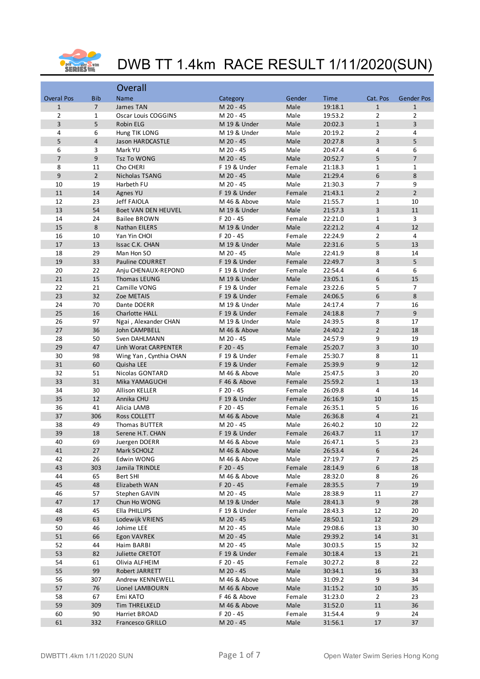

|                   |                | Overall                    |              |        |         |                  |                   |
|-------------------|----------------|----------------------------|--------------|--------|---------|------------------|-------------------|
| <b>Overal Pos</b> | <b>Bib</b>     | Name                       | Category     | Gender | Time    | Cat. Pos         | <b>Gender Pos</b> |
| $\mathbf{1}$      | $\overline{7}$ | James TAN                  | M 20 - 45    | Male   | 19:18.1 | $\mathbf{1}$     | $\mathbf{1}$      |
| $\overline{2}$    | $\mathbf{1}$   | Oscar Louis COGGINS        | M 20 - 45    | Male   | 19:53.2 | 2                | $\overline{2}$    |
| 3                 | 5              | Robin ELG                  | M 19 & Under | Male   | 20:02.3 | $\mathbf{1}$     | 3                 |
| 4                 | 6              | Hung TIK LONG              | M 19 & Under | Male   | 20:19.2 | $\overline{2}$   | 4                 |
| 5                 | $\overline{4}$ | <b>Jason HARDCASTLE</b>    | M 20 - 45    | Male   | 20:27.8 | 3                | 5                 |
| 6                 | 3              | Mark YU                    | M 20 - 45    | Male   | 20:47.4 | 4                | 6                 |
| $\overline{7}$    | 9              | <b>Tsz To WONG</b>         | M 20 - 45    | Male   | 20:52.7 | 5                | $\overline{7}$    |
| 8                 | 11             | Cho CHERI                  | F 19 & Under | Female | 21:18.3 | $\mathbf{1}$     | $\mathbf{1}$      |
| 9                 | $2^{\circ}$    | Nicholas TSANG             | M 20 - 45    | Male   | 21:29.4 | 6                | 8                 |
| 10                | 19             | Harbeth FU                 | M 20 - 45    | Male   | 21:30.3 | 7                | 9                 |
| 11                | $14\,$         | Agnes YU                   | F 19 & Under | Female | 21:43.1 | $\overline{2}$   | $\overline{2}$    |
| 12                | 23             | Jeff FAIOLA                | M 46 & Above | Male   | 21:55.7 | $\mathbf{1}$     | 10                |
| 13                | 54             | <b>Boet VAN DEN HEUVEL</b> | M 19 & Under | Male   | 21:57.3 | 3                | 11                |
| 14                | 24             | <b>Bailee BROWN</b>        | F 20 - 45    | Female | 22:21.0 | $\mathbf{1}$     | 3                 |
| 15                | 8              | Nathan EILERS              | M 19 & Under | Male   | 22:21.2 | $\overline{4}$   | 12                |
| 16                | 10             | Yan Yin CHOI               | F 20 - 45    | Female | 22:24.9 | $\overline{2}$   | $\overline{4}$    |
| 17                | 13             | Issac C.K. CHAN            | M 19 & Under | Male   | 22:31.6 | 5                | 13                |
| 18                | 29             | Man Hon SO                 | M 20 - 45    | Male   | 22:41.9 | 8                | 14                |
| 19                | 33             | <b>Pauline COURRET</b>     | F 19 & Under | Female | 22:49.7 | 3                | 5                 |
| 20                | 22             | Anju CHENAUX-REPOND        | F 19 & Under | Female | 22:54.4 | 4                | 6                 |
| 21                | 15             | Thomas LEUNG               | M 19 & Under | Male   | 23:05.1 | 6                | 15                |
| 22                | 21             | Camille VONG               | F 19 & Under | Female | 23:22.6 | 5                | 7                 |
| 23                | 32             | Zoe METAIS                 | F 19 & Under | Female | 24:06.5 | 6                | 8                 |
| 24                | 70             | Dante DOERR                | M 19 & Under | Male   | 24:17.4 | 7                | 16                |
| 25                | 16             | Charlotte HALL             | F 19 & Under | Female | 24:18.8 | $\overline{7}$   | 9                 |
| 26                | 97             | Ngai, Alexander CHAN       | M 19 & Under | Male   | 24:39.5 | 8                | 17                |
| 27                | 36             | John CAMPBELL              | M 46 & Above | Male   | 24:40.2 | $\overline{2}$   | 18                |
| 28                | 50             | Sven DAHLMANN              | M 20 - 45    | Male   | 24:57.9 | 9                | 19                |
| 29                | 47             | Linh Worat CARPENTER       | F 20 - 45    | Female | 25:20.7 | 3                | 10                |
| 30                | 98             | Wing Yan, Cynthia CHAN     | F 19 & Under | Female | 25:30.7 | 8                | 11                |
| 31                | 60             | Quisha LEE                 | F 19 & Under | Female | 25:39.9 | 9                | 12                |
| 32                | 51             | Nicolas GONTARD            | M 46 & Above | Male   | 25:47.5 | 3                | 20                |
| 33                | 31             | Mika YAMAGUCHI             | F 46 & Above | Female | 25:59.2 | $\mathbf{1}$     | 13                |
| 34                | 30             | Allison KELLER             | F 20 - 45    | Female | 26:09.8 | 4                | 14                |
| 35                | 12             | Annika CHU                 | F 19 & Under | Female | 26:16.9 | 10               | 15                |
| 36                | 41             | Alicia LAMB                | F 20 - 45    | Female | 26:35.1 | 5                | 16                |
| 37                | 306            | <b>Ross COLLETT</b>        | M 46 & Above | Male   | 26:36.8 | $\overline{4}$   | 21                |
| 38                | 49             | <b>Thomas BUTTER</b>       | M 20 - 45    | Male   | 26:40.2 | 10               | 22                |
| 39                | 18             | Serene H.T. CHAN           | F 19 & Under | Female | 26:43.7 | 11               | 17                |
| 40                | 69             | Juergen DOERR              | M 46 & Above | Male   | 26:47.1 | 5                | 23                |
| 41                | 27             | Mark SCHOLZ                | M 46 & Above | Male   | 26:53.4 | $6\phantom{.}6$  | 24                |
| 42                | 26             | Edwin WONG                 | M 46 & Above | Male   | 27:19.7 | 7                | 25                |
| 43                | 303            | Jamila TRINDLE             | F 20 - 45    | Female | 28:14.9 | $\boldsymbol{6}$ | 18                |
| 44                | 65             | Bert SHI                   | M 46 & Above | Male   | 28:32.0 | 8                | 26                |
| 45                | 48             | Elizabeth WAN              | $F$ 20 - 45  | Female | 28:35.5 | $\overline{7}$   | 19                |
| 46                | 57             | Stephen GAVIN              | M 20 - 45    | Male   | 28:38.9 | 11               | 27                |
| 47                | 17             | Chun Ho WONG               | M 19 & Under | Male   | 28:41.3 | $9\,$            | 28                |
| 48                | 45             | Ella PHILLIPS              | F 19 & Under | Female | 28:43.3 | 12               | 20                |
| 49                | 63             | Lodewijk VRIENS            | M 20 - 45    | Male   | 28:50.1 | 12               | 29                |
| 50                | 46             | Johime LEE                 | M 20 - 45    | Male   | 29:08.6 | 13               | 30                |
| 51                | 66             | Egon VAVREK                | M 20 - 45    | Male   | 29:39.2 | $14\,$           | 31                |
| 52                | 44             | Haim BARBI                 | M 20 - 45    | Male   | 30:03.5 | 15               | 32                |
| 53                | 82             | Juliette CRETOT            | F 19 & Under | Female | 30:18.4 | 13               | 21                |
| 54                | 61             | Olivia ALFHEIM             | F 20 - 45    | Female | 30:27.2 | 8                | 22                |
| 55                | 99             | Robert JARRETT             | M 20 - 45    | Male   | 30:34.1 | 16               | 33                |
| 56                | 307            | Andrew KENNEWELL           | M 46 & Above | Male   | 31:09.2 | 9                | 34                |
| 57                | 76             | Lionel LAMBOURN            | M 46 & Above | Male   | 31:15.2 | $10\,$           | 35                |
| 58                | 67             | Emi KATO                   | F 46 & Above | Female | 31:23.0 | $\overline{2}$   | 23                |
| 59                | 309            | Tim THRELKELD              | M 46 & Above | Male   | 31:52.0 | 11               | 36                |
| 60                | 90             | Harriet BROAD              | F 20 - 45    | Female | 31:54.4 | 9                | 24                |
| 61                | 332            | Francesco GRILLO           | M 20 - 45    | Male   | 31:56.1 | $17\,$           | 37                |
|                   |                |                            |              |        |         |                  |                   |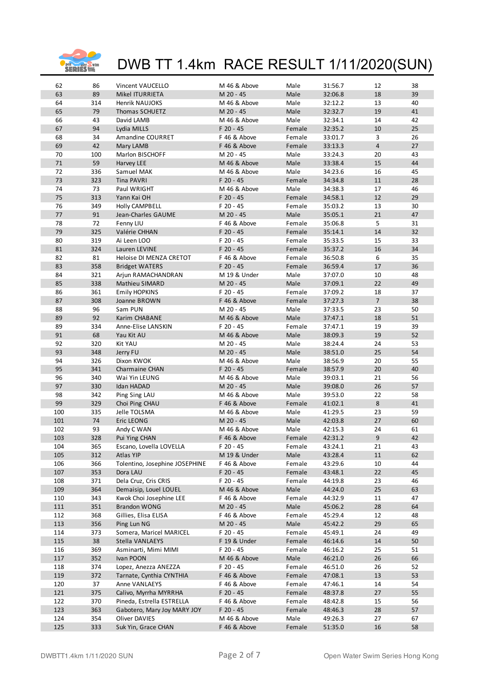

| 62         | 86         | Vincent VAUCELLO                             | M 46 & Above              | Male           | 31:56.7 | 12                      | 38       |
|------------|------------|----------------------------------------------|---------------------------|----------------|---------|-------------------------|----------|
| 63         | 89         | <b>Mikel ITURRIETA</b>                       | M 20 - 45                 | Male           | 32:06.8 | 18                      | 39       |
| 64         | 314        | Henrik NAUJOKS                               | M 46 & Above              | Male           | 32:12.2 | 13                      | 40       |
| 65         | 79         | Thomas SCHUETZ                               | M 20 - 45                 | Male           | 32:32.7 | 19                      | 41       |
| 66         | 43         | David LAMB                                   | M 46 & Above              | Male           | 32:34.1 | 14                      | 42       |
| 67         | 94         | Lydia MILLS                                  | F 20 - 45                 | Female         | 32:35.2 | $10\,$                  | 25       |
| 68         | 34         | Amandine COURRET                             | F 46 & Above              | Female         | 33:01.7 | 3                       | 26       |
| 69         | 42         | Mary LAMB                                    | F 46 & Above              | Female         | 33:13.3 | $\overline{\mathbf{4}}$ | 27       |
| 70         | 100        | Marlon BISCHOFF                              | M 20 - 45                 | Male           | 33:24.3 | 20                      | 43       |
| 71         | 59         | Harvey LEE                                   | M 46 & Above              | Male           | 33:38.4 | 15                      | 44       |
| 72         | 336        | Samuel MAK                                   | M 46 & Above              | Male           | 34:23.6 | 16                      | 45       |
| 73         | 323        | Tina PAVRI                                   | F 20 - 45                 | Female         | 34:34.8 | $11\,$                  | 28       |
| 74         | 73         | Paul WRIGHT                                  | M 46 & Above              | Male           | 34:38.3 | 17                      | 46       |
| 75         | 313        | Yann Kai OH                                  | F 20 - 45                 | Female         | 34:58.1 | 12                      | 29       |
| 76         | 349        | Holly CAMPBELL                               | F 20 - 45                 | Female         | 35:03.2 | 13                      | 30       |
| 77         | 91         | Jean-Charles GAUME                           | M 20 - 45                 | Male           | 35:05.1 | 21                      | 47       |
| 78         | 72         | Fenny LIU                                    | F 46 & Above              | Female         | 35:06.8 | 5                       | 31       |
| 79         | 325        | Valérie CHHAN                                | F 20 - 45                 | Female         | 35:14.1 | 14                      | 32       |
| 80         | 319        | Ai Leen LOO                                  | F 20 - 45                 | Female         | 35:33.5 | 15                      | 33       |
| 81         | 324        | Lauren LEVINE                                | F 20 - 45                 | Female         | 35:37.2 | 16                      | 34       |
| 82         | 81         | Heloise DI MENZA CRETOT                      | F 46 & Above              | Female         | 36:50.8 | 6                       | 35       |
| 83         | 358        | <b>Bridget WATERS</b>                        | $F$ 20 - 45               | Female         | 36:59.4 | $17\,$                  | 36       |
| 84         | 321        | Arjun RAMACHANDRAN                           | M 19 & Under              | Male           | 37:07.0 | 10                      | 48       |
| 85         | 338        | Mathieu SIMARD                               | M 20 - 45                 | Male           | 37:09.1 | 22                      | 49       |
| 86         | 361        | <b>Emily HOPKINS</b>                         | F 20 - 45                 | Female         | 37:09.2 | 18                      | 37       |
| 87         | 308        | Joanne BROWN                                 | F 46 & Above              | Female         | 37:27.3 | $\overline{7}$          | 38       |
| 88         | 96         | Sam PUN                                      | M 20 - 45                 | Male           | 37:33.5 | 23                      | 50       |
| 89         | 92         | Karim CHABANE                                | M 46 & Above              | Male           | 37:47.1 | 18                      | 51       |
| 89         | 334        | Anne-Elise LANSKIN                           | F 20 - 45                 | Female         | 37:47.1 | 19                      | 39       |
| 91         | 68         | Yau Kit AU                                   | M 46 & Above              | Male           | 38:09.3 | 19                      | 52       |
| 92         | 320        | Kit YAU                                      | M 20 - 45                 | Male           | 38:24.4 | 24                      | 53       |
| 93         | 348        | Jerry FU                                     | M 20 - 45                 | Male           | 38:51.0 | 25                      | 54       |
| 94         | 326        | Dixon KWOK                                   | M 46 & Above              | Male           | 38:56.9 | 20                      | 55       |
| 95         | 341        | Charmaine CHAN                               | F 20 - 45                 | Female         | 38:57.9 | 20                      | 40       |
| 96         | 340        | Wai Yin LEUNG                                | M 46 & Above              | Male           | 39:03.1 | 21                      | 56       |
| 97         | 330        | Idan HADAD                                   | M 20 - 45                 | Male           | 39:08.0 | 26                      | 57       |
| 98         | 342        | Ping Sing LAU                                | M 46 & Above              | Male           | 39:53.0 | 22                      | 58       |
| 99         | 329        | Choi Ping CHAU                               | F 46 & Above              | Female         | 41:02.1 | 8                       | 41       |
| 100        | 335        | Jelle TOLSMA                                 | M 46 & Above              | Male           | 41:29.5 | 23                      | 59       |
| 101        | 74         | <b>Eric LEONG</b>                            | M 20 - 45                 | Male           | 42:03.8 | 27                      | 60       |
| 102        | 93         | Andy C WAN                                   | M 46 & Above              | Male           | 42:15.3 | 24                      | 61       |
| 103        | 328        | Pui Ying CHAN                                | F 46 & Above              | Female         | 42:31.2 | 9                       | 42       |
| 104        | 365        | Escano, Lovella LOVELLA                      | F 20 - 45                 | Female         | 43:24.1 | 21                      | 43       |
| 105        | 312        | Atlas YIP                                    | M 19 & Under              | Male           | 43:28.4 | $11\,$                  | 62       |
| 106        | 366        | Tolentino, Josephine JOSEPHINE               | F 46 & Above              | Female         | 43:29.6 | 10                      | 44       |
| 107        | 353        | Dora LAU                                     | F 20 - 45                 | Female         | 43:48.1 | 22                      | 45       |
| 108        | 371        | Dela Cruz, Cris CRIS                         | F 20 - 45                 | Female         | 44:19.8 | 23                      | 46       |
| 109        | 364        | Demaisip, Louel LOUEL                        | M 46 & Above              | Male           | 44:24.0 | 25                      | 63       |
| 110        | 343        | Kwok Choi Josephine LEE                      | F 46 & Above              | Female         | 44:32.9 | 11                      | 47       |
| 111        | 351        | <b>Brandon WONG</b>                          | M 20 - 45                 | Male           | 45:06.2 | 28                      | 64       |
| 112        | 368        | Gillies, Elisa ELISA                         | F 46 & Above              | Female         | 45:29.4 | 12                      | 48       |
| 113        | 356        | Ping Lun NG                                  | M 20 - 45                 | Male           | 45:42.2 | 29                      | 65       |
| 114        | 373        | Somera, Maricel MARICEL                      | F 20 - 45                 | Female         | 45:49.1 | 24                      | 49       |
| 115        | 38         | Stella VANLAEYS                              | F 19 & Under              | Female         | 46:14.6 | 14                      | 50       |
| 116        | 369        | Asminarti, Mimi MIMI                         | F 20 - 45                 | Female         | 46:16.2 | 25                      | 51       |
| 117        | 352        | Ivan POON                                    | M 46 & Above              | Male           | 46:21.0 | 26                      | 66       |
| 118        | 374        | Lopez, Anezza ANEZZA                         | F 20 - 45                 | Female         | 46:51.0 | 26                      | 52       |
| 119        | 372        | Tarnate, Cynthia CYNTHIA                     | F 46 & Above              | Female         | 47:08.1 | 13                      | 53       |
| 120        | 37         | Anne VANLAEYS                                | F 46 & Above              | Female         | 47:46.1 | 14                      | 54       |
| 121        | 375        | Calivo, Myrrha MYRRHA                        | F 20 - 45<br>F 46 & Above | Female         | 48:37.8 | 27                      | 55<br>56 |
| 122<br>123 | 370<br>363 | Pineda, Estrella ESTRELLA                    | F 20 - 45                 | Female         | 48:42.8 | 15                      | 57       |
| 124        |            | Gabotero, Mary Joy MARY JOY<br>Oliver DAVIES | M 46 & Above              | Female<br>Male | 48:46.3 | 28                      |          |
|            | 354        |                                              | F 46 & Above              |                | 49:26.3 | 27                      | 67<br>58 |
| 125        | 333        | Suk Yin, Grace CHAN                          |                           | Female         | 51:35.0 | $16\,$                  |          |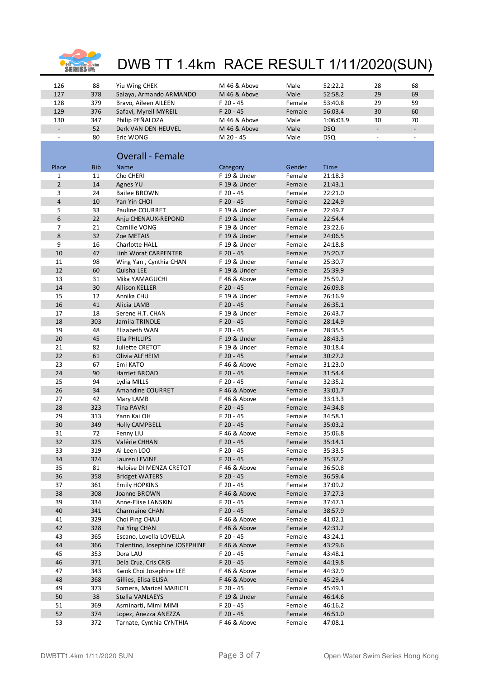

| 126                      | 88         | Yiu Wing CHEK                                   | M 46 & Above              | Male             | 52:22.2    | 28                       | 68                       |
|--------------------------|------------|-------------------------------------------------|---------------------------|------------------|------------|--------------------------|--------------------------|
| 127                      | 378        | Salaya, Armando ARMANDO                         | M 46 & Above              | Male             | 52:58.2    | 29                       | 69                       |
| 128                      | 379        | Bravo, Aileen AILEEN                            | F 20 - 45                 | Female           | 53:40.8    | 29                       | 59                       |
| 129                      | 376        | Safavi, Myreil MYREIL                           | F 20 - 45                 | Female           | 56:03.4    | 30                       | 60                       |
| 130                      | 347        | Philip PEÑALOZA                                 | M 46 & Above              | Male             | 1:06:03.9  | 30                       | 70                       |
| $\blacksquare$           | 52         | Derk VAN DEN HEUVEL                             | M 46 & Above              | Male             | <b>DSQ</b> | $\overline{\phantom{a}}$ | $\overline{\phantom{a}}$ |
| $\overline{\phantom{a}}$ | 80         | Eric WONG                                       | M 20 - 45                 | Male             | <b>DSQ</b> | $\overline{\phantom{a}}$ |                          |
|                          |            |                                                 |                           |                  |            |                          |                          |
|                          |            |                                                 |                           |                  |            |                          |                          |
|                          |            | <b>Overall - Female</b>                         |                           |                  |            |                          |                          |
| Place                    | <b>Bib</b> | Name                                            | Category                  | Gender           | Time       |                          |                          |
| $\mathbf 1$              | 11         | Cho CHERI                                       | F 19 & Under              | Female           | 21:18.3    |                          |                          |
| $\overline{2}$           | 14         | Agnes YU                                        | F 19 & Under              | Female           | 21:43.1    |                          |                          |
| 3                        | 24         | <b>Bailee BROWN</b>                             | F 20 - 45                 | Female           | 22:21.0    |                          |                          |
| $\overline{\mathbf{4}}$  | 10         | Yan Yin CHOI                                    | F 20 - 45                 | Female           | 22:24.9    |                          |                          |
| 5                        | 33         | Pauline COURRET                                 | F 19 & Under              | Female           | 22:49.7    |                          |                          |
| 6                        | 22         | Anju CHENAUX-REPOND                             | F 19 & Under              | Female           | 22:54.4    |                          |                          |
| 7                        | 21         | Camille VONG                                    | F 19 & Under              | Female           | 23:22.6    |                          |                          |
| 8                        | 32         | Zoe METAIS                                      | F 19 & Under              | Female           | 24:06.5    |                          |                          |
| 9                        | 16         | Charlotte HALL                                  | F 19 & Under              | Female           | 24:18.8    |                          |                          |
| 10                       | 47         | Linh Worat CARPENTER                            | F 20 - 45                 | Female           | 25:20.7    |                          |                          |
| 11                       | 98         | Wing Yan, Cynthia CHAN                          | F 19 & Under              | Female           | 25:30.7    |                          |                          |
| 12                       | 60         | Quisha LEE                                      | F 19 & Under              | Female           | 25:39.9    |                          |                          |
| 13                       | 31         | Mika YAMAGUCHI                                  | F 46 & Above              | Female           | 25:59.2    |                          |                          |
| 14                       | 30         | <b>Allison KELLER</b>                           | F 20 - 45                 | Female           | 26:09.8    |                          |                          |
| 15                       | 12         | Annika CHU                                      | F 19 & Under              | Female           | 26:16.9    |                          |                          |
| 16                       | 41         | Alicia LAMB                                     | F 20 - 45                 | Female           | 26:35.1    |                          |                          |
| 17                       | 18         | Serene H.T. CHAN                                | F 19 & Under              | Female           | 26:43.7    |                          |                          |
| 18                       | 303        | Jamila TRINDLE                                  | F 20 - 45                 | Female           | 28:14.9    |                          |                          |
| 19                       | 48         | Elizabeth WAN                                   | F 20 - 45                 | Female           | 28:35.5    |                          |                          |
| 20                       | 45         | Ella PHILLIPS                                   | F 19 & Under              | Female           | 28:43.3    |                          |                          |
| 21                       | 82         | Juliette CRETOT                                 | F 19 & Under              | Female           | 30:18.4    |                          |                          |
| 22                       | 61         | Olivia ALFHEIM                                  | F 20 - 45                 | Female           | 30:27.2    |                          |                          |
| 23                       | 67         | Emi KATO                                        | F 46 & Above              | Female           | 31:23.0    |                          |                          |
| 24                       | 90         | Harriet BROAD                                   | F 20 - 45                 | Female           | 31:54.4    |                          |                          |
| 25                       | 94         | Lydia MILLS                                     | F 20 - 45                 | Female           | 32:35.2    |                          |                          |
| 26                       | 34         | <b>Amandine COURRET</b>                         | F 46 & Above              | Female           | 33:01.7    |                          |                          |
| 27                       | 42         | Mary LAMB                                       | F 46 & Above              | Female           | 33:13.3    |                          |                          |
| 28                       | 323        | Tina PAVRI                                      | F 20 - 45                 | Female           | 34:34.8    |                          |                          |
| 29                       | 313        | Yann Kai OH                                     | F 20 - 45                 | Female           | 34:58.1    |                          |                          |
| 30                       | 349        | Holly CAMPBELL                                  | F 20 - 45                 | Female           | 35:03.2    |                          |                          |
| 31                       | 72         | Fenny LIU                                       | F 46 & Above              | Female           | 35:06.8    |                          |                          |
| 32                       | 325        | Valérie CHHAN                                   | F 20 - 45                 | Female           | 35:14.1    |                          |                          |
| 33                       | 319        | Ai Leen LOO                                     | F 20 - 45                 | Female           | 35:33.5    |                          |                          |
| 34                       | 324        | Lauren LEVINE                                   | $F$ 20 - 45               | Female           | 35:37.2    |                          |                          |
| 35                       | 81         | Heloise DI MENZA CRETOT                         | F 46 & Above              | Female           | 36:50.8    |                          |                          |
| 36                       | 358        | <b>Bridget WATERS</b>                           | F 20 - 45                 | Female           | 36:59.4    |                          |                          |
| 37                       | 361        | Emily HOPKINS                                   | F 20 - 45                 | Female           | 37:09.2    |                          |                          |
| 38                       | 308        | Joanne BROWN                                    | F 46 & Above              | Female           | 37:27.3    |                          |                          |
| 39                       | 334        | Anne-Elise LANSKIN                              | F 20 - 45                 | Female           | 37:47.1    |                          |                          |
| 40                       | 341        | Charmaine CHAN                                  | F 20 - 45                 | Female           | 38:57.9    |                          |                          |
| 41                       | 329        | Choi Ping CHAU                                  | F 46 & Above              | Female           | 41:02.1    |                          |                          |
| 42                       | 328        | Pui Ying CHAN                                   | F 46 & Above              | Female           | 42:31.2    |                          |                          |
| 43                       | 365        | Escano, Lovella LOVELLA                         | F 20 - 45                 | Female           | 43:24.1    |                          |                          |
| 44<br>45                 | 366        | Tolentino, Josephine JOSEPHINE<br>Dora LAU      | F 46 & Above              | Female           | 43:29.6    |                          |                          |
|                          | 353        |                                                 | F 20 - 45                 | Female           | 43:48.1    |                          |                          |
| 46<br>47                 | 371<br>343 | Dela Cruz, Cris CRIS<br>Kwok Choi Josephine LEE | F 20 - 45<br>F 46 & Above | Female           | 44:19.8    |                          |                          |
| 48                       |            | Gillies, Elisa ELISA                            |                           | Female           | 44:32.9    |                          |                          |
|                          | 368        |                                                 | F 46 & Above              | Female           | 45:29.4    |                          |                          |
| 49<br>50                 | 373        | Somera, Maricel MARICEL<br>Stella VANLAEYS      | F 20 - 45<br>F 19 & Under | Female<br>Female | 45:49.1    |                          |                          |
|                          | 38         |                                                 |                           |                  | 46:14.6    |                          |                          |
| 51                       | 369        | Asminarti, Mimi MIMI                            | F 20 - 45                 | Female           | 46:16.2    |                          |                          |
| 52                       | 374        | Lopez, Anezza ANEZZA                            | F 20 - 45                 | Female           | 46:51.0    |                          |                          |
| 53                       | 372        | Tarnate, Cynthia CYNTHIA                        | F 46 & Above              | Female           | 47:08.1    |                          |                          |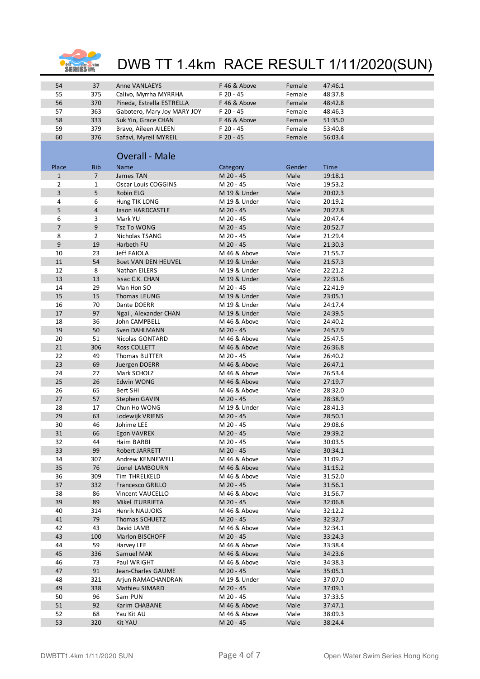

| 54             | 37             | Anne VANLAEYS                     | F 46 & Above              | Female       | 47:46.1            |
|----------------|----------------|-----------------------------------|---------------------------|--------------|--------------------|
| 55             | 375            | Calivo, Myrrha MYRRHA             | F 20 - 45                 | Female       | 48:37.8            |
| 56             | 370            | Pineda, Estrella ESTRELLA         | F 46 & Above              | Female       | 48:42.8            |
| 57             | 363            | Gabotero, Mary Joy MARY JOY       | F 20 - 45                 | Female       | 48:46.3            |
| 58             | 333            | Suk Yin, Grace CHAN               | F 46 & Above              | Female       | 51:35.0            |
| 59             | 379            | Bravo, Aileen AILEEN              | F 20 - 45                 | Female       | 53:40.8            |
| 60             | 376            | Safavi, Myreil MYREIL             | F 20 - 45                 | Female       | 56:03.4            |
|                |                |                                   |                           |              |                    |
|                |                | <b>Overall - Male</b>             |                           |              |                    |
|                |                |                                   |                           |              |                    |
| Place          | <b>Bib</b>     | Name                              | Category                  | Gender       | <b>Time</b>        |
| $\mathbf{1}$   | $\overline{7}$ | James TAN                         | M 20 - 45                 | Male         | 19:18.1            |
| $\overline{2}$ | $\mathbf{1}$   | Oscar Louis COGGINS               | M 20 - 45                 | Male         | 19:53.2            |
| 3<br>4         | 5<br>6         | Robin ELG                         | M 19 & Under              | Male<br>Male | 20:02.3            |
| 5              | 4              | Hung TIK LONG<br>Jason HARDCASTLE | M 19 & Under<br>M 20 - 45 | Male         | 20:19.2<br>20:27.8 |
| 6              | 3              | Mark YU                           | M 20 - 45                 | Male         | 20:47.4            |
| $\overline{7}$ | 9              | <b>Tsz To WONG</b>                | M 20 - 45                 | Male         | 20:52.7            |
| 8              | $\overline{2}$ | Nicholas TSANG                    | M 20 - 45                 | Male         | 21:29.4            |
| 9              | 19             | Harbeth FU                        | M 20 - 45                 | Male         | 21:30.3            |
| 10             | 23             | Jeff FAIOLA                       | M 46 & Above              | Male         | 21:55.7            |
| 11             | 54             | Boet VAN DEN HEUVEL               | M 19 & Under              | Male         | 21:57.3            |
| 12             | 8              | Nathan EILERS                     | M 19 & Under              | Male         | 22:21.2            |
| 13             | 13             | Issac C.K. CHAN                   | M 19 & Under              | Male         | 22:31.6            |
| 14             | 29             | Man Hon SO                        | M 20 - 45                 | Male         | 22:41.9            |
| 15             | 15             | Thomas LEUNG                      | M 19 & Under              | Male         | 23:05.1            |
| 16             | 70             | Dante DOERR                       | M 19 & Under              | Male         | 24:17.4            |
| 17             | 97             | Ngai, Alexander CHAN              | M 19 & Under              | Male         | 24:39.5            |
| 18             | 36             | John CAMPBELL                     | M 46 & Above              | Male         | 24:40.2            |
| 19             | 50             | Sven DAHLMANN                     | M 20 - 45                 | Male         | 24:57.9            |
| 20             | 51             | Nicolas GONTARD                   | M 46 & Above              | Male         | 25:47.5            |
| 21             | 306            | Ross COLLETT                      | M 46 & Above              | Male         | 26:36.8            |
| 22             | 49             | Thomas BUTTER                     | M 20 - 45                 | Male         | 26:40.2            |
| 23             | 69             | Juergen DOERR                     | M 46 & Above              | Male         | 26:47.1            |
| 24             | 27             | Mark SCHOLZ                       | M 46 & Above              | Male         | 26:53.4            |
| 25             | 26             | <b>Edwin WONG</b>                 | M 46 & Above              | Male         | 27:19.7            |
| 26             | 65             | Bert SHI                          | M 46 & Above              | Male         | 28:32.0            |
| 27             | 57             | Stephen GAVIN                     | M 20 - 45                 | Male         | 28:38.9            |
| 28             | 17             | Chun Ho WONG                      | M 19 & Under              | Male         | 28:41.3            |
| 29             | 63             | Lodewijk VRIENS                   | M 20 - 45                 | Male         | 28:50.1            |
| 30             | 46             | Johime LEE                        | M 20 - 45                 | Male         | 29:08.6            |
| 31             | 66             | Egon VAVREK                       | M 20 - 45                 | Male         | 29:39.2            |
| 32             | 44             | Haim BARBI                        | M 20 - 45                 | Male         | 30:03.5            |
| 33             | 99             | Robert JARRETT                    | M 20 - 45                 | Male         | 30:34.1            |
| 34             | 307            | Andrew KENNEWELL                  | M 46 & Above              | Male         | 31:09.2            |
| 35             | 76             | Lionel LAMBOURN                   | M 46 & Above              | Male         | 31:15.2            |
| 36             | 309            | Tim THRELKELD                     | M 46 & Above              | Male         | 31:52.0            |
| 37             | 332            | <b>Francesco GRILLO</b>           | M 20 - 45                 | Male         | 31:56.1            |
| 38             | 86             | Vincent VAUCELLO                  | M 46 & Above              | Male         | 31:56.7            |
| 39             | 89             | Mikel ITURRIETA                   | M 20 - 45                 | Male         | 32:06.8            |
| 40             | 314            | Henrik NAUJOKS                    | M 46 & Above              | Male         | 32:12.2            |
| 41             | 79             | Thomas SCHUETZ                    | M 20 - 45                 | Male         | 32:32.7            |
| 42             | 43             | David LAMB                        | M 46 & Above              | Male         | 32:34.1            |
| 43             | 100            | Marlon BISCHOFF                   | M 20 - 45                 | Male         | 33:24.3            |
| 44             | 59             | Harvey LEE                        | M 46 & Above              | Male         | 33:38.4            |
| 45             | 336            | Samuel MAK                        | M 46 & Above              | Male         | 34:23.6            |
| 46             | 73             | Paul WRIGHT                       | M 46 & Above              | Male         | 34:38.3            |
| 47             | 91             | Jean-Charles GAUME                | M 20 - 45                 | Male         | 35:05.1            |
| 48             | 321            | Arjun RAMACHANDRAN                | M 19 & Under              | Male         | 37:07.0            |
| 49             | 338            | Mathieu SIMARD                    | M 20 - 45                 | Male         | 37:09.1            |
| 50             | 96             | Sam PUN                           | M 20 - 45                 | Male         | 37:33.5            |
| 51             | 92             | Karim CHABANE                     | M 46 & Above              | Male         | 37:47.1            |
| 52             | 68             | Yau Kit AU                        | M 46 & Above              | Male         | 38:09.3            |
| 53             | 320            | <b>Kit YAU</b>                    | M 20 - 45                 | Male         | 38:24.4            |
|                |                |                                   |                           |              |                    |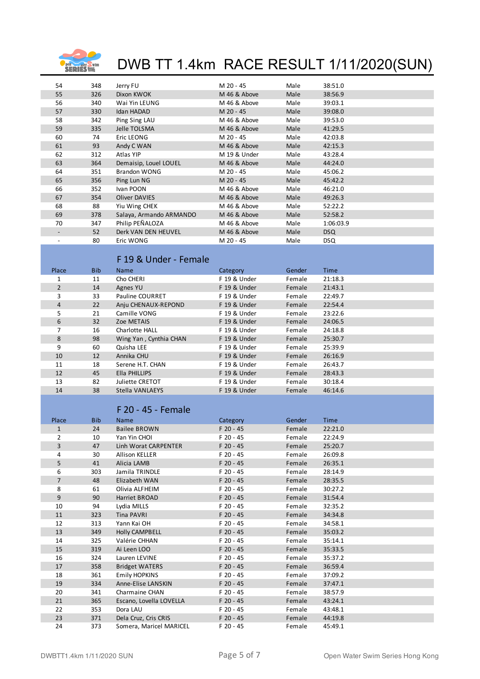

| 54                       | 348        | Jerry FU                         | M 20 - 45                    | Male             | 38:51.0            |
|--------------------------|------------|----------------------------------|------------------------------|------------------|--------------------|
| 55                       | 326        | Dixon KWOK                       | M 46 & Above                 | Male             | 38:56.9            |
| 56                       | 340        | Wai Yin LEUNG                    | M 46 & Above                 | Male             | 39:03.1            |
| 57                       | 330        | Idan HADAD                       | M 20 - 45                    | Male             | 39:08.0            |
| 58                       | 342        | Ping Sing LAU                    | M 46 & Above                 | Male             | 39:53.0            |
| 59                       | 335        | Jelle TOLSMA                     | M 46 & Above                 | Male             | 41:29.5            |
| 60                       | 74         | Eric LEONG                       | M 20 - 45                    | Male             | 42:03.8            |
| 61                       | 93         | Andy C WAN                       | M 46 & Above                 | Male             | 42:15.3            |
| 62                       | 312        | Atlas YIP                        | M 19 & Under                 | Male             | 43:28.4            |
| 63                       | 364        | Demaisip, Louel LOUEL            | M 46 & Above                 | Male             | 44:24.0            |
| 64                       | 351        | <b>Brandon WONG</b>              | M 20 - 45                    | Male             | 45:06.2            |
| 65                       | 356        | Ping Lun NG                      | M 20 - 45                    | Male             | 45:42.2            |
| 66                       | 352        | Ivan POON                        | M 46 & Above                 | Male             | 46:21.0            |
| 67                       | 354        | <b>Oliver DAVIES</b>             | M 46 & Above                 | Male             | 49:26.3            |
| 68                       | 88         | Yiu Wing CHEK                    | M 46 & Above                 | Male             | 52:22.2            |
| 69                       | 378        | Salaya, Armando ARMANDO          | M 46 & Above                 | Male             | 52:58.2            |
| 70                       | 347        | Philip PEÑALOZA                  | M 46 & Above                 | Male             | 1:06:03.9          |
| $\overline{\phantom{a}}$ | 52         | Derk VAN DEN HEUVEL              | M 46 & Above                 | Male             | <b>DSQ</b>         |
|                          | 80         | Eric WONG                        | M 20 - 45                    | Male             | <b>DSQ</b>         |
|                          |            | F 19 & Under - Female            |                              |                  |                    |
|                          |            |                                  |                              |                  |                    |
| Place                    | <b>Bib</b> | <b>Name</b>                      | Category                     | Gender           | Time               |
| $\mathbf{1}$             | 11         | Cho CHERI                        | F 19 & Under                 | Female           | 21:18.3            |
| $\overline{2}$           | 14         | Agnes YU                         | F 19 & Under                 | Female           | 21:43.1            |
| 3                        | 33         | Pauline COURRET                  | F 19 & Under                 | Female           | 22:49.7            |
| $\overline{4}$           | 22         | Anju CHENAUX-REPOND              | F 19 & Under                 | Female           | 22:54.4            |
| 5                        | 21         | Camille VONG                     | F 19 & Under                 | Female           | 23:22.6            |
| 6                        | 32         | Zoe METAIS                       | F 19 & Under                 | Female           | 24:06.5            |
| 7                        | 16         | Charlotte HALL                   | F 19 & Under                 | Female           | 24:18.8            |
| 8                        | 98         | Wing Yan, Cynthia CHAN           | F 19 & Under                 | Female           | 25:30.7            |
| 9                        | 60         | Quisha LEE                       | F 19 & Under                 | Female           | 25:39.9            |
| 10                       | 12         | Annika CHU                       | F 19 & Under                 | Female           | 26:16.9            |
| 11<br>12                 | 18<br>45   | Serene H.T. CHAN                 | F 19 & Under<br>F 19 & Under | Female<br>Female | 26:43.7<br>28:43.3 |
| 13                       | 82         | Ella PHILLIPS<br>Juliette CRETOT | F 19 & Under                 | Female           | 30:18.4            |
| 14                       | 38         | Stella VANLAEYS                  | F 19 & Under                 | Female           | 46:14.6            |
|                          |            |                                  |                              |                  |                    |
|                          |            | F 20 - 45 - Female               |                              |                  |                    |
|                          |            |                                  |                              |                  |                    |
| Place                    | <b>Bib</b> | Name                             | Category                     | Gender           | Time               |
| $\mathbf{1}$             | 24         | <b>Bailee BROWN</b>              | $F$ 20 - 45                  | Female           | 22:21.0            |
| $\overline{2}$           | 10         | Yan Yin CHOI                     | F 20 - 45                    | Female           | 22:24.9            |
| 3                        | 47         | Linh Worat CARPENTER             | F 20 - 45                    | Female           | 25:20.7            |
| 4<br>5                   | 30         | Allison KELLER                   | F 20 - 45                    | Female           | 26:09.8            |
| 6                        | 41<br>303  | Alicia LAMB<br>Jamila TRINDLE    | F 20 - 45<br>F 20 - 45       | Female<br>Female | 26:35.1<br>28:14.9 |
| $\overline{7}$           | 48         | Elizabeth WAN                    | F 20 - 45                    | Female           | 28:35.5            |
| 8                        | 61         | Olivia ALFHEIM                   | F 20 - 45                    | Female           | 30:27.2            |
| $\overline{9}$           | 90         | Harriet BROAD                    | F 20 - 45                    | Female           | 31:54.4            |
| 10                       | 94         | Lydia MILLS                      | F 20 - 45                    | Female           | 32:35.2            |
| 11                       | 323        | Tina PAVRI                       | F 20 - 45                    | Female           | 34:34.8            |
| 12                       | 313        | Yann Kai OH                      | F 20 - 45                    | Female           | 34:58.1            |
| 13                       | 349        | Holly CAMPBELL                   | F 20 - 45                    | Female           | 35:03.2            |
| 14                       | 325        | Valérie CHHAN                    | F 20 - 45                    | Female           | 35:14.1            |
| 15                       | 319        | Ai Leen LOO                      | F 20 - 45                    | Female           | 35:33.5            |
| 16                       | 324        | Lauren LEVINE                    | F 20 - 45                    | Female           | 35:37.2            |
| 17                       | 358        | <b>Bridget WATERS</b>            | F 20 - 45                    | Female           | 36:59.4            |
| 18                       | 361        | Emily HOPKINS                    | F 20 - 45                    | Female           | 37:09.2            |
| 19                       | 334        | Anne-Elise LANSKIN               | F 20 - 45                    | Female           | 37:47.1            |
| 20                       | 341        | Charmaine CHAN                   | F 20 - 45                    | Female           | 38:57.9            |
| 21                       | 365        | Escano, Lovella LOVELLA          | F 20 - 45                    | Female           | 43:24.1            |
| 22                       | 353        | Dora LAU                         | F 20 - 45                    | Female           | 43:48.1            |
|                          |            |                                  |                              |                  |                    |
| 23                       | 371        | Dela Cruz, Cris CRIS             | F 20 - 45                    | Female           | 44:19.8            |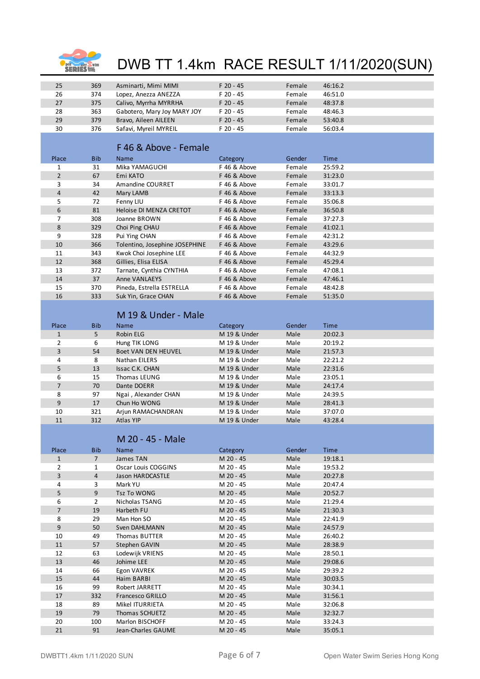

| 25             | 369            | Asminarti, Mimi MIMI           | F 20 - 45    | Female | 46:16.2     |
|----------------|----------------|--------------------------------|--------------|--------|-------------|
| 26             | 374            | Lopez, Anezza ANEZZA           | F 20 - 45    | Female | 46:51.0     |
| 27             | 375            | Calivo, Myrrha MYRRHA          | F 20 - 45    | Female | 48:37.8     |
| 28             | 363            | Gabotero, Mary Joy MARY JOY    | F 20 - 45    | Female | 48:46.3     |
| 29             | 379            | Bravo, Aileen AILEEN           | F 20 - 45    | Female | 53:40.8     |
|                |                |                                |              |        |             |
| 30             | 376            | Safavi, Myreil MYREIL          | F 20 - 45    | Female | 56:03.4     |
|                |                |                                |              |        |             |
|                |                | F 46 & Above - Female          |              |        |             |
|                |                |                                |              |        |             |
| Place          | <b>Bib</b>     | <b>Name</b>                    | Category     | Gender | <b>Time</b> |
| 1              | 31             | Mika YAMAGUCHI                 | F 46 & Above | Female | 25:59.2     |
| $\overline{2}$ | 67             | Emi KATO                       | F 46 & Above | Female | 31:23.0     |
| 3              | 34             | Amandine COURRET               | F 46 & Above | Female | 33:01.7     |
| $\overline{4}$ | 42             | Mary LAMB                      | F 46 & Above | Female | 33:13.3     |
| 5              | 72             | Fenny LIU                      | F 46 & Above | Female | 35:06.8     |
|                |                |                                |              |        |             |
| 6              | 81             | Heloise DI MENZA CRETOT        | F 46 & Above | Female | 36:50.8     |
| 7              | 308            | Joanne BROWN                   | F 46 & Above | Female | 37:27.3     |
| 8              | 329            | Choi Ping CHAU                 | F 46 & Above | Female | 41:02.1     |
| 9              | 328            | Pui Ying CHAN                  | F 46 & Above | Female | 42:31.2     |
| 10             | 366            | Tolentino, Josephine JOSEPHINE | F 46 & Above | Female | 43:29.6     |
| 11             | 343            | Kwok Choi Josephine LEE        | F 46 & Above | Female | 44:32.9     |
| 12             | 368            | Gillies, Elisa ELISA           | F 46 & Above | Female | 45:29.4     |
|                |                |                                |              |        |             |
| 13             | 372            | Tarnate, Cynthia CYNTHIA       | F 46 & Above | Female | 47:08.1     |
| 14             | 37             | Anne VANLAEYS                  | F 46 & Above | Female | 47:46.1     |
| 15             | 370            | Pineda, Estrella ESTRELLA      | F 46 & Above | Female | 48:42.8     |
| 16             | 333            | Suk Yin, Grace CHAN            | F 46 & Above | Female | 51:35.0     |
|                |                |                                |              |        |             |
|                |                | M 19 & Under - Male            |              |        |             |
|                |                |                                |              |        |             |
| Place          | <b>Bib</b>     | Name                           | Category     | Gender | Time        |
| $\mathbf{1}$   | 5              | Robin ELG                      | M 19 & Under | Male   | 20:02.3     |
| $\overline{2}$ | 6              | Hung TIK LONG                  | M 19 & Under | Male   | 20:19.2     |
| 3              | 54             | <b>Boet VAN DEN HEUVEL</b>     | M 19 & Under | Male   | 21:57.3     |
| 4              | 8              | Nathan EILERS                  | M 19 & Under | Male   | 22:21.2     |
|                |                |                                |              |        |             |
| 5              | 13             | Issac C.K. CHAN                | M 19 & Under | Male   | 22:31.6     |
| 6              | 15             | Thomas LEUNG                   | M 19 & Under | Male   | 23:05.1     |
| $\overline{7}$ | 70             | Dante DOERR                    | M 19 & Under | Male   | 24:17.4     |
| 8              | 97             | Ngai, Alexander CHAN           | M 19 & Under | Male   | 24:39.5     |
| 9              | 17             | Chun Ho WONG                   | M 19 & Under | Male   | 28:41.3     |
| 10             | 321            | Arjun RAMACHANDRAN             | M 19 & Under | Male   | 37:07.0     |
| $11\,$         | 312            | Atlas YIP                      | M 19 & Under | Male   | 43:28.4     |
|                |                |                                |              |        |             |
|                |                |                                |              |        |             |
|                |                | M 20 - 45 - Male               |              |        |             |
| Place          | <b>Bib</b>     | Name                           | Category     | Gender | Time        |
| $\mathbf{1}$   | $\overline{7}$ | James TAN                      | M 20 - 45    | Male   | 19:18.1     |
| $\overline{2}$ | $\mathbf{1}$   | Oscar Louis COGGINS            | M 20 - 45    | Male   | 19:53.2     |
| 3              |                |                                |              |        |             |
|                | $\overline{4}$ | Jason HARDCASTLE               | M 20 - 45    | Male   | 20:27.8     |
| 4              | 3              | Mark YU                        | M 20 - 45    | Male   | 20:47.4     |
| 5              | $9\,$          | Tsz To WONG                    | M 20 - 45    | Male   | 20:52.7     |
| 6              | $\overline{2}$ | Nicholas TSANG                 | M 20 - 45    | Male   | 21:29.4     |
| $\overline{7}$ | 19             | Harbeth FU                     | M 20 - 45    | Male   | 21:30.3     |
| 8              | 29             | Man Hon SO                     | M 20 - 45    | Male   | 22:41.9     |
| $\overline{9}$ | 50             | Sven DAHLMANN                  | M 20 - 45    | Male   | 24:57.9     |
| 10             | 49             |                                |              | Male   |             |
|                |                | Thomas BUTTER                  | M 20 - 45    |        | 26:40.2     |
| $11\,$         | 57             | Stephen GAVIN                  | M 20 - 45    | Male   | 28:38.9     |
| 12             | 63             | Lodewijk VRIENS                | M 20 - 45    | Male   | 28:50.1     |
| 13             | 46             | Johime LEE                     | M 20 - 45    | Male   | 29:08.6     |
| 14             | 66             | Egon VAVREK                    | M 20 - 45    | Male   | 29:39.2     |
| 15             | 44             | Haim BARBI                     | M 20 - 45    | Male   | 30:03.5     |
| 16             | 99             | Robert JARRETT                 | M 20 - 45    | Male   | 30:34.1     |
| 17             | 332            | <b>Francesco GRILLO</b>        | M 20 - 45    | Male   | 31:56.1     |
| 18             | 89             |                                |              |        |             |
|                |                | Mikel ITURRIETA                | M 20 - 45    | Male   | 32:06.8     |
| 19             | 79             | Thomas SCHUETZ                 | M 20 - 45    | Male   | 32:32.7     |
| 20             | 100            | Marlon BISCHOFF                | M 20 - 45    | Male   | 33:24.3     |
| 21             | 91             | Jean-Charles GAUME             | M 20 - 45    | Male   | 35:05.1     |